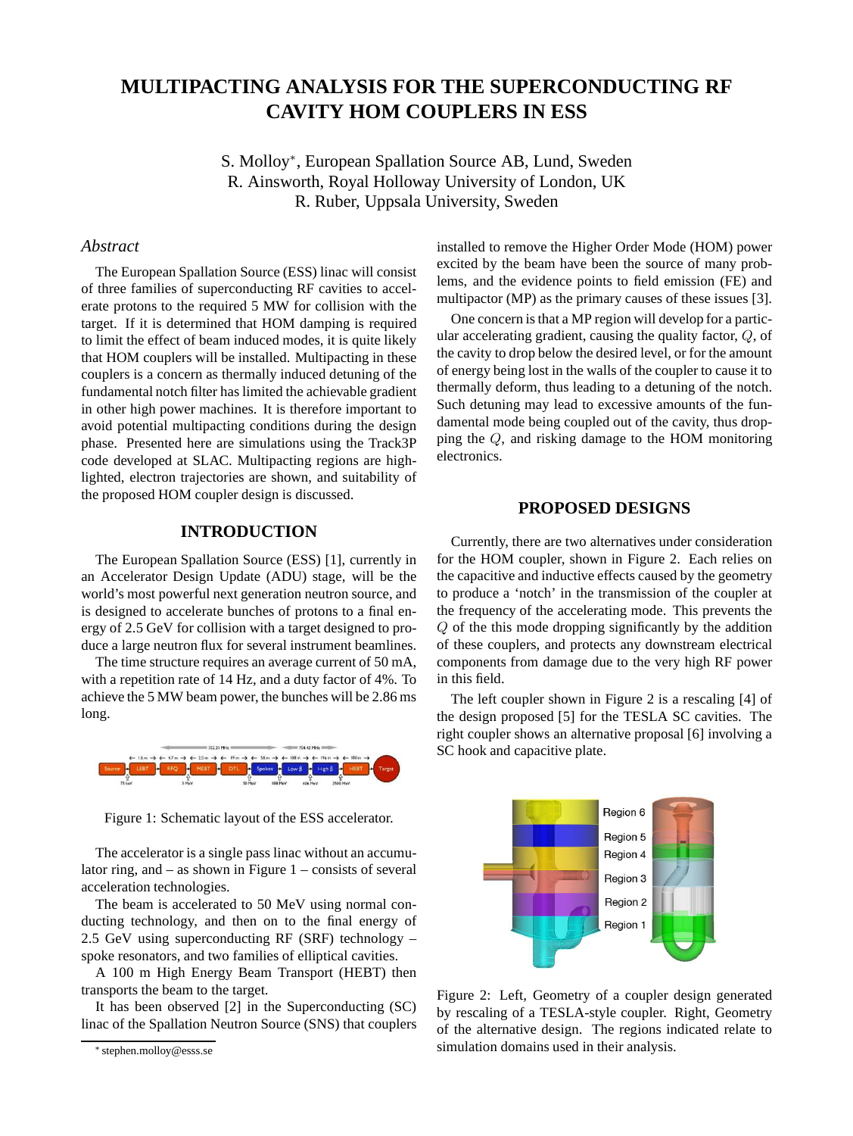# **MULTIPACTING ANALYSIS FOR THE SUPERCONDUCTING RF CAVITY HOM COUPLERS IN ESS**

S. Molloy<sup>∗</sup> , European Spallation Source AB, Lund, Sweden R. Ainsworth, Royal Holloway University of London, UK R. Ruber, Uppsala University, Sweden

## *Abstract*

The European Spallation Source (ESS) linac will consist of three families of superconducting RF cavities to accelerate protons to the required 5 MW for collision with the target. If it is determined that HOM damping is required to limit the effect of beam induced modes, it is quite likely that HOM couplers will be installed. Multipacting in these couplers is a concern as thermally induced detuning of the fundamental notch filter has limited the achievable gradient in other high power machines. It is therefore important to avoid potential multipacting conditions during the design phase. Presented here are simulations using the Track3P code developed at SLAC. Multipacting regions are highlighted, electron trajectories are shown, and suitability of the proposed HOM coupler design is discussed.

# **INTRODUCTION**

The European Spallation Source (ESS) [1], currently in an Accelerator Design Update (ADU) stage, will be the world's most powerful next generation neutron source, and is designed to accelerate bunches of protons to a final energy of 2.5 GeV for collision with a target designed to produce a large neutron flux for several instrument beamlines.

The time structure requires an average current of 50 mA, with a repetition rate of 14 Hz, and a duty factor of 4%. To achieve the 5 MW beam power, the bunches will be 2.86 ms long.



Figure 1: Schematic layout of the ESS accelerator.

The accelerator is a single pass linac without an accumulator ring, and  $-$  as shown in Figure 1 – consists of several acceleration technologies.

The beam is accelerated to 50 MeV using normal conducting technology, and then on to the final energy of 2.5 GeV using superconducting RF (SRF) technology – spoke resonators, and two families of elliptical cavities.

A 100 m High Energy Beam Transport (HEBT) then transports the beam to the target.

It has been observed [2] in the Superconducting (SC) linac of the Spallation Neutron Source (SNS) that couplers installed to remove the Higher Order Mode (HOM) power excited by the beam have been the source of many problems, and the evidence points to field emission (FE) and multipactor (MP) as the primary causes of these issues [3].

One concern is that a MP region will develop for a particular accelerating gradient, causing the quality factor, Q, of the cavity to drop below the desired level, or for the amount of energy being lost in the walls of the coupler to cause it to thermally deform, thus leading to a detuning of the notch. Such detuning may lead to excessive amounts of the fundamental mode being coupled out of the cavity, thus dropping the Q, and risking damage to the HOM monitoring electronics.

## **PROPOSED DESIGNS**

Currently, there are two alternatives under consideration for the HOM coupler, shown in Figure 2. Each relies on the capacitive and inductive effects caused by the geometry to produce a 'notch' in the transmission of the coupler at the frequency of the accelerating mode. This prevents the Q of the this mode dropping significantly by the addition of these couplers, and protects any downstream electrical components from damage due to the very high RF power in this field.

The left coupler shown in Figure 2 is a rescaling [4] of the design proposed [5] for the TESLA SC cavities. The right coupler shows an alternative proposal [6] involving a SC hook and capacitive plate.



Figure 2: Left, Geometry of a coupler design generated by rescaling of a TESLA-style coupler. Right, Geometry of the alternative design. The regions indicated relate to simulation domains used in their analysis.

<sup>∗</sup> stephen.molloy@esss.se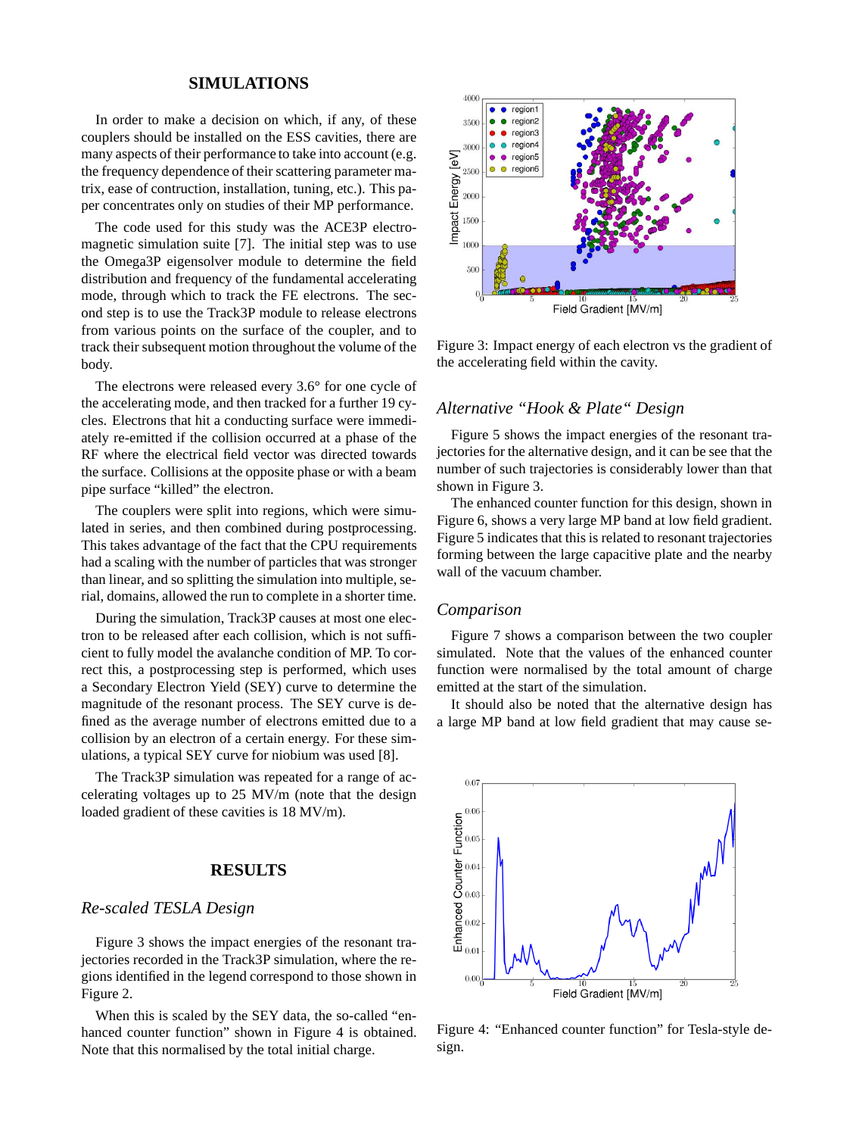## **SIMULATIONS**

In order to make a decision on which, if any, of these couplers should be installed on the ESS cavities, there are many aspects of their performance to take into account (e.g. the frequency dependence of their scattering parameter matrix, ease of contruction, installation, tuning, etc.). This paper concentrates only on studies of their MP performance.

The code used for this study was the ACE3P electromagnetic simulation suite [7]. The initial step was to use the Omega3P eigensolver module to determine the field distribution and frequency of the fundamental accelerating mode, through which to track the FE electrons. The second step is to use the Track3P module to release electrons from various points on the surface of the coupler, and to track their subsequent motion throughout the volume of the body.

The electrons were released every 3.6° for one cycle of the accelerating mode, and then tracked for a further 19 cycles. Electrons that hit a conducting surface were immediately re-emitted if the collision occurred at a phase of the RF where the electrical field vector was directed towards the surface. Collisions at the opposite phase or with a beam pipe surface "killed" the electron.

The couplers were split into regions, which were simulated in series, and then combined during postprocessing. This takes advantage of the fact that the CPU requirements had a scaling with the number of particles that was stronger than linear, and so splitting the simulation into multiple, serial, domains, allowed the run to complete in a shorter time.

During the simulation, Track3P causes at most one electron to be released after each collision, which is not sufficient to fully model the avalanche condition of MP. To correct this, a postprocessing step is performed, which uses a Secondary Electron Yield (SEY) curve to determine the magnitude of the resonant process. The SEY curve is defined as the average number of electrons emitted due to a collision by an electron of a certain energy. For these simulations, a typical SEY curve for niobium was used [8].

The Track3P simulation was repeated for a range of accelerating voltages up to 25 MV/m (note that the design loaded gradient of these cavities is 18 MV/m).

#### **RESULTS**

# *Re-scaled TESLA Design*

Figure 3 shows the impact energies of the resonant trajectories recorded in the Track3P simulation, where the regions identified in the legend correspond to those shown in Figure 2.

When this is scaled by the SEY data, the so-called "enhanced counter function" shown in Figure 4 is obtained. Note that this normalised by the total initial charge.



Figure 3: Impact energy of each electron vs the gradient of the accelerating field within the cavity.

# *Alternative "Hook & Plate" Design*

Figure 5 shows the impact energies of the resonant trajectories for the alternative design, and it can be see that the number of such trajectories is considerably lower than that shown in Figure 3.

The enhanced counter function for this design, shown in Figure 6, shows a very large MP band at low field gradient. Figure 5 indicates that this is related to resonant trajectories forming between the large capacitive plate and the nearby wall of the vacuum chamber.

#### *Comparison*

Figure 7 shows a comparison between the two coupler simulated. Note that the values of the enhanced counter function were normalised by the total amount of charge emitted at the start of the simulation.

It should also be noted that the alternative design has a large MP band at low field gradient that may cause se-



Figure 4: "Enhanced counter function" for Tesla-style design.